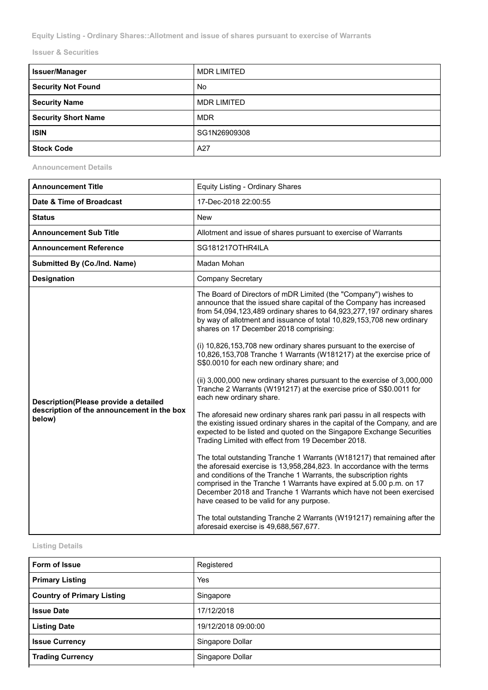**Equity Listing - Ordinary Shares::Allotment and issue of shares pursuant to exercise of Warrants**

**Issuer & Securities**

| <b>Issuer/Manager</b>      | <b>MDR LIMITED</b> |
|----------------------------|--------------------|
| <b>Security Not Found</b>  | <b>No</b>          |
| <b>Security Name</b>       | <b>MDR LIMITED</b> |
| <b>Security Short Name</b> | <b>MDR</b>         |
| <b>ISIN</b>                | SG1N26909308       |
| <b>Stock Code</b>          | A27                |

**Announcement Details**

| <b>Announcement Title</b>                                                                     | Equity Listing - Ordinary Shares                                                                                                                                                                                                                                                                                                                                                                                                                                                                                                                                                                                                                                                                                                                                                                                                                                                                                                                                                                                                                                                                                                                                                                                                                                                                                                                                                                                                                                                                                                          |
|-----------------------------------------------------------------------------------------------|-------------------------------------------------------------------------------------------------------------------------------------------------------------------------------------------------------------------------------------------------------------------------------------------------------------------------------------------------------------------------------------------------------------------------------------------------------------------------------------------------------------------------------------------------------------------------------------------------------------------------------------------------------------------------------------------------------------------------------------------------------------------------------------------------------------------------------------------------------------------------------------------------------------------------------------------------------------------------------------------------------------------------------------------------------------------------------------------------------------------------------------------------------------------------------------------------------------------------------------------------------------------------------------------------------------------------------------------------------------------------------------------------------------------------------------------------------------------------------------------------------------------------------------------|
| Date & Time of Broadcast                                                                      | 17-Dec-2018 22:00:55                                                                                                                                                                                                                                                                                                                                                                                                                                                                                                                                                                                                                                                                                                                                                                                                                                                                                                                                                                                                                                                                                                                                                                                                                                                                                                                                                                                                                                                                                                                      |
| Status                                                                                        | New                                                                                                                                                                                                                                                                                                                                                                                                                                                                                                                                                                                                                                                                                                                                                                                                                                                                                                                                                                                                                                                                                                                                                                                                                                                                                                                                                                                                                                                                                                                                       |
| <b>Announcement Sub Title</b>                                                                 | Allotment and issue of shares pursuant to exercise of Warrants                                                                                                                                                                                                                                                                                                                                                                                                                                                                                                                                                                                                                                                                                                                                                                                                                                                                                                                                                                                                                                                                                                                                                                                                                                                                                                                                                                                                                                                                            |
| <b>Announcement Reference</b>                                                                 | SG181217OTHR4ILA                                                                                                                                                                                                                                                                                                                                                                                                                                                                                                                                                                                                                                                                                                                                                                                                                                                                                                                                                                                                                                                                                                                                                                                                                                                                                                                                                                                                                                                                                                                          |
| Submitted By (Co./Ind. Name)                                                                  | Madan Mohan                                                                                                                                                                                                                                                                                                                                                                                                                                                                                                                                                                                                                                                                                                                                                                                                                                                                                                                                                                                                                                                                                                                                                                                                                                                                                                                                                                                                                                                                                                                               |
| <b>Designation</b>                                                                            | <b>Company Secretary</b>                                                                                                                                                                                                                                                                                                                                                                                                                                                                                                                                                                                                                                                                                                                                                                                                                                                                                                                                                                                                                                                                                                                                                                                                                                                                                                                                                                                                                                                                                                                  |
| Description(Please provide a detailed<br>description of the announcement in the box<br>below) | The Board of Directors of mDR Limited (the "Company") wishes to<br>announce that the issued share capital of the Company has increased<br>from 54,094,123,489 ordinary shares to 64,923,277,197 ordinary shares<br>by way of allotment and issuance of total 10,829,153,708 new ordinary<br>shares on 17 December 2018 comprising:<br>(i) 10,826,153,708 new ordinary shares pursuant to the exercise of<br>10,826,153,708 Tranche 1 Warrants (W181217) at the exercise price of<br>S\$0.0010 for each new ordinary share; and<br>(ii) 3,000,000 new ordinary shares pursuant to the exercise of 3,000,000<br>Tranche 2 Warrants (W191217) at the exercise price of S\$0.0011 for<br>each new ordinary share.<br>The aforesaid new ordinary shares rank pari passu in all respects with<br>the existing issued ordinary shares in the capital of the Company, and are<br>expected to be listed and quoted on the Singapore Exchange Securities<br>Trading Limited with effect from 19 December 2018.<br>The total outstanding Tranche 1 Warrants (W181217) that remained after<br>the aforesaid exercise is 13,958,284,823. In accordance with the terms<br>and conditions of the Tranche 1 Warrants, the subscription rights<br>comprised in the Tranche 1 Warrants have expired at 5.00 p.m. on 17<br>December 2018 and Tranche 1 Warrants which have not been exercised<br>have ceased to be valid for any purpose.<br>The total outstanding Tranche 2 Warrants (W191217) remaining after the<br>aforesaid exercise is 49,688,567,677. |

## **Listing Details**

| Form of Issue                     | Registered          |
|-----------------------------------|---------------------|
| <b>Primary Listing</b>            | Yes                 |
| <b>Country of Primary Listing</b> | Singapore           |
| <b>Issue Date</b>                 | 17/12/2018          |
| <b>Listing Date</b>               | 19/12/2018 09:00:00 |
| <b>Issue Currency</b>             | Singapore Dollar    |
| <b>Trading Currency</b>           | Singapore Dollar    |